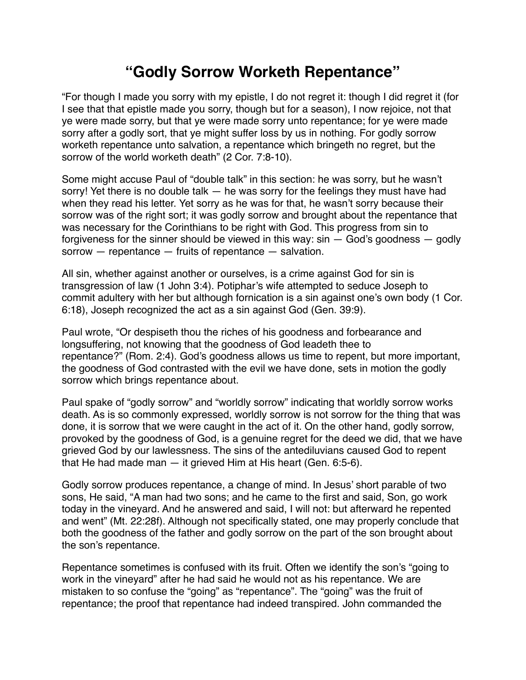## **"Godly Sorrow Worketh Repentance"**

"For though I made you sorry with my epistle, I do not regret it: though I did regret it (for I see that that epistle made you sorry, though but for a season), I now rejoice, not that ye were made sorry, but that ye were made sorry unto repentance; for ye were made sorry after a godly sort, that ye might suffer loss by us in nothing. For godly sorrow worketh repentance unto salvation, a repentance which bringeth no regret, but the sorrow of the world worketh death" (2 Cor. 7:8-10).

Some might accuse Paul of "double talk" in this section: he was sorry, but he wasn't sorry! Yet there is no double talk — he was sorry for the feelings they must have had when they read his letter. Yet sorry as he was for that, he wasn't sorry because their sorrow was of the right sort; it was godly sorrow and brought about the repentance that was necessary for the Corinthians to be right with God. This progress from sin to forgiveness for the sinner should be viewed in this way:  $sin - God's$  goodness  $-$  godly sorrow — repentance — fruits of repentance — salvation.

All sin, whether against another or ourselves, is a crime against God for sin is transgression of law (1 John 3:4). Potiphar's wife attempted to seduce Joseph to commit adultery with her but although fornication is a sin against one's own body (1 Cor. 6:18), Joseph recognized the act as a sin against God (Gen. 39:9).

Paul wrote, "Or despiseth thou the riches of his goodness and forbearance and longsuffering, not knowing that the goodness of God leadeth thee to repentance?" (Rom. 2:4). God's goodness allows us time to repent, but more important, the goodness of God contrasted with the evil we have done, sets in motion the godly sorrow which brings repentance about.

Paul spake of "godly sorrow" and "worldly sorrow" indicating that worldly sorrow works death. As is so commonly expressed, worldly sorrow is not sorrow for the thing that was done, it is sorrow that we were caught in the act of it. On the other hand, godly sorrow, provoked by the goodness of God, is a genuine regret for the deed we did, that we have grieved God by our lawlessness. The sins of the antediluvians caused God to repent that He had made man — it grieved Him at His heart (Gen. 6:5-6).

Godly sorrow produces repentance, a change of mind. In Jesus' short parable of two sons, He said, "A man had two sons; and he came to the first and said, Son, go work today in the vineyard. And he answered and said, I will not: but afterward he repented and went" (Mt. 22:28f). Although not specifically stated, one may properly conclude that both the goodness of the father and godly sorrow on the part of the son brought about the son's repentance.

Repentance sometimes is confused with its fruit. Often we identify the son's "going to work in the vineyard" after he had said he would not as his repentance. We are mistaken to so confuse the "going" as "repentance". The "going" was the fruit of repentance; the proof that repentance had indeed transpired. John commanded the